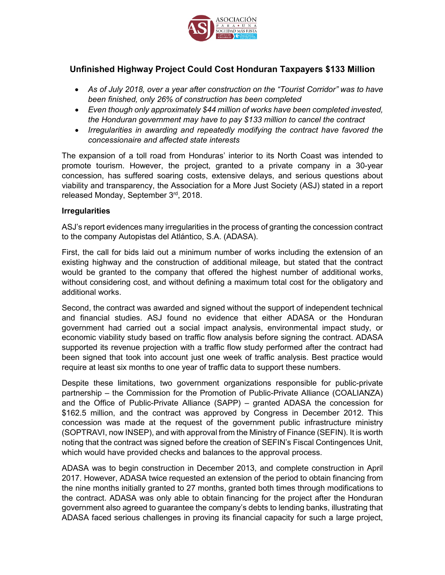

# **Unfinished Highway Project Could Cost Honduran Taxpayers \$133 Million**

- *As of July 2018, over a year after construction on the "Tourist Corridor" was to have been finished, only 26% of construction has been completed*
- *Even though only approximately \$44 million of works have been completed invested, the Honduran government may have to pay \$133 million to cancel the contract*
- *Irregularities in awarding and repeatedly modifying the contract have favored the concessionaire and affected state interests*

The expansion of a toll road from Honduras' interior to its North Coast was intended to promote tourism. However, the project, granted to a private company in a 30-year concession, has suffered soaring costs, extensive delays, and serious questions about viability and transparency, the Association for a More Just Society (ASJ) stated in a report released Monday, September 3rd, 2018.

### **Irregularities**

ASJ's report evidences many irregularities in the process of granting the concession contract to the company Autopistas del Atlántico, S.A. (ADASA).

First, the call for bids laid out a minimum number of works including the extension of an existing highway and the construction of additional mileage, but stated that the contract would be granted to the company that offered the highest number of additional works, without considering cost, and without defining a maximum total cost for the obligatory and additional works.

Second, the contract was awarded and signed without the support of independent technical and financial studies. ASJ found no evidence that either ADASA or the Honduran government had carried out a social impact analysis, environmental impact study, or economic viability study based on traffic flow analysis before signing the contract. ADASA supported its revenue projection with a traffic flow study performed after the contract had been signed that took into account just one week of traffic analysis. Best practice would require at least six months to one year of traffic data to support these numbers.

Despite these limitations, two government organizations responsible for public-private partnership – the Commission for the Promotion of Public-Private Alliance (COALIANZA) and the Office of Public-Private Alliance (SAPP) – granted ADASA the concession for \$162.5 million, and the contract was approved by Congress in December 2012. This concession was made at the request of the government public infrastructure ministry (SOPTRAVI, now INSEP), and with approval from the Ministry of Finance (SEFIN). It is worth noting that the contract was signed before the creation of SEFIN's Fiscal Contingences Unit, which would have provided checks and balances to the approval process.

ADASA was to begin construction in December 2013, and complete construction in April 2017. However, ADASA twice requested an extension of the period to obtain financing from the nine months initially granted to 27 months, granted both times through modifications to the contract. ADASA was only able to obtain financing for the project after the Honduran government also agreed to guarantee the company's debts to lending banks, illustrating that ADASA faced serious challenges in proving its financial capacity for such a large project,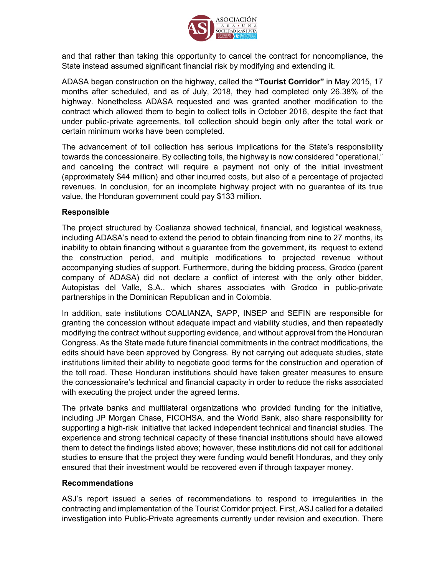

and that rather than taking this opportunity to cancel the contract for noncompliance, the State instead assumed significant financial risk by modifying and extending it.

ADASA began construction on the highway, called the **"Tourist Corridor"** in May 2015, 17 months after scheduled, and as of July, 2018, they had completed only 26.38% of the highway. Nonetheless ADASA requested and was granted another modification to the contract which allowed them to begin to collect tolls in October 2016, despite the fact that under public-private agreements, toll collection should begin only after the total work or certain minimum works have been completed.

The advancement of toll collection has serious implications for the State's responsibility towards the concessionaire. By collecting tolls, the highway is now considered "operational," and canceling the contract will require a payment not only of the initial investment (approximately \$44 million) and other incurred costs, but also of a percentage of projected revenues. In conclusion, for an incomplete highway project with no guarantee of its true value, the Honduran government could pay \$133 million.

## **Responsible**

The project structured by Coalianza showed technical, financial, and logistical weakness, including ADASA's need to extend the period to obtain financing from nine to 27 months, its inability to obtain financing without a guarantee from the government, its request to extend the construction period, and multiple modifications to projected revenue without accompanying studies of support. Furthermore, during the bidding process, Grodco (parent company of ADASA) did not declare a conflict of interest with the only other bidder, Autopistas del Valle, S.A., which shares associates with Grodco in public-private partnerships in the Dominican Republican and in Colombia.

In addition, sate institutions COALIANZA, SAPP, INSEP and SEFIN are responsible for granting the concession without adequate impact and viability studies, and then repeatedly modifying the contract without supporting evidence, and without approval from the Honduran Congress. As the State made future financial commitments in the contract modifications, the edits should have been approved by Congress. By not carrying out adequate studies, state institutions limited their ability to negotiate good terms for the construction and operation of the toll road. These Honduran institutions should have taken greater measures to ensure the concessionaire's technical and financial capacity in order to reduce the risks associated with executing the project under the agreed terms.

The private banks and multilateral organizations who provided funding for the initiative, including JP Morgan Chase, FICOHSA, and the World Bank, also share responsibility for supporting a high-risk initiative that lacked independent technical and financial studies. The experience and strong technical capacity of these financial institutions should have allowed them to detect the findings listed above; however, these institutions did not call for additional studies to ensure that the project they were funding would benefit Honduras, and they only ensured that their investment would be recovered even if through taxpayer money.

### **Recommendations**

ASJ's report issued a series of recommendations to respond to irregularities in the contracting and implementation of the Tourist Corridor project. First, ASJ called for a detailed investigation into Public-Private agreements currently under revision and execution. There